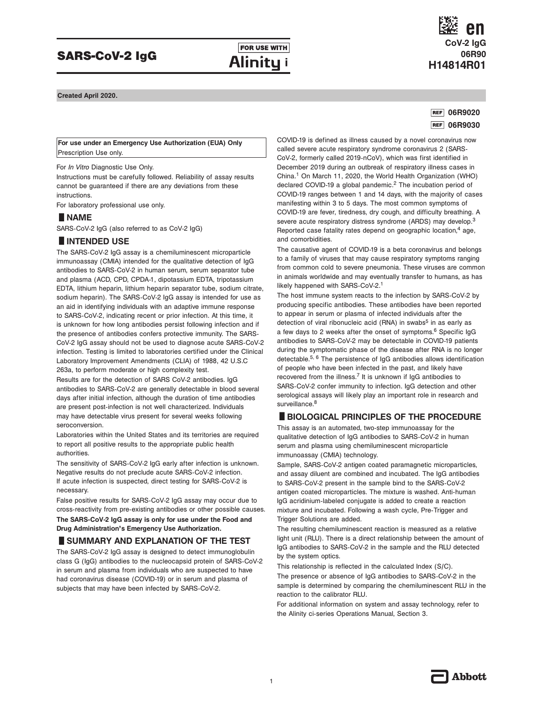## SARS-CoV-2 IgG

**FOR USE WITH** Alinity i

## **CoV-2 IgG 06R90 H14814R01 en**

**Created April 2020.**

#### **06R9020 06R9030**

**For use under an Emergency Use Authorization (EUA) Only** Prescription Use only.

For *In Vitro* Diagnostic Use Only.

Instructions must be carefully followed. Reliability of assay results cannot be guaranteed if there are any deviations from these instructions.

For laboratory professional use only.

# instructions.<br>For laborato<br>■ **NAME**<br>SARS-CoV-9

SARS-CoV-2 IgG (also referred to as CoV-2 IgG)

# **INAME**<br>SARS-CoV-2 IgG (also r<br>**IINTENDED USE**<br>The SARS-CoV-2 IgG as

The SARS-CoV-2 IgG assay is a chemiluminescent microparticle immunoassay (CMIA) intended for the qualitative detection of IgG antibodies to SARS-CoV-2 in human serum, serum separator tube and plasma (ACD, CPD, CPDA-1, dipotassium EDTA, tripotassium EDTA, lithium heparin, lithium heparin separator tube, sodium citrate, sodium heparin). The SARS-CoV-2 IgG assay is intended for use as an aid in identifying individuals with an adaptive immune response to SARS-CoV-2, indicating recent or prior infection. At this time, it is unknown for how long antibodies persist following infection and if the presence of antibodies confers protective immunity. The SARS-CoV-2 IgG assay should not be used to diagnose acute SARS-CoV-2 infection. Testing is limited to laboratories certified under the Clinical Laboratory Improvement Amendments (CLIA) of 1988, 42 U.S.C 263a, to perform moderate or high complexity test.

Results are for the detection of SARS CoV-2 antibodies. IgG antibodies to SARS-CoV-2 are generally detectable in blood several days after initial infection, although the duration of time antibodies are present post-infection is not well characterized. Individuals may have detectable virus present for several weeks following seroconversion.

Laboratories within the United States and its territories are required to report all positive results to the appropriate public health authorities.

The sensitivity of SARS-CoV-2 IgG early after infection is unknown. Negative results do not preclude acute SARS-CoV-2 infection. If acute infection is suspected, direct testing for SARS-CoV-2 is necessary.

False positive results for SARS-CoV-2 IgG assay may occur due to cross-reactivity from pre-existing antibodies or other possible causes. **The SARS-CoV-2 IgG assay is only for use under the Food and Drug Administration's Emergency Use Authorization.**

#### **SUMMARY AND EXPLANATION OF THE TEST**

The SARS-CoV-2 IgG assay is designed to detect immunoglobulin class G (IgG) antibodies to the nucleocapsid protein of SARS-CoV-2 in serum and plasma from individuals who are suspected to have had coronavirus disease (COVID-19) or in serum and plasma of subjects that may have been infected by SARS-CoV-2.

COVID-19 is defined as illness caused by a novel coronavirus now called severe acute respiratory syndrome coronavirus 2 (SARS-CoV-2, formerly called 2019-nCoV), which was first identified in December 2019 during an outbreak of respiratory illness cases in China.1 On March 11, 2020, the World Health Organization (WHO) declared COVID-19 a global pandemic.<sup>2</sup> The incubation period of COVID-19 ranges between 1 and 14 days, with the majority of cases manifesting within 3 to 5 days. The most common symptoms of COVID-19 are fever, tiredness, dry cough, and difficulty breathing. A severe acute respiratory distress syndrome (ARDS) may develop.<sup>3</sup> Reported case fatality rates depend on geographic location,<sup>4</sup> age, and comorbidities.

The causative agent of COVID-19 is a beta coronavirus and belongs to a family of viruses that may cause respiratory symptoms ranging from common cold to severe pneumonia. These viruses are common in animals worldwide and may eventually transfer to humans, as has likely happened with SARS-CoV-2.<sup>1</sup>

The host immune system reacts to the infection by SARS-CoV-2 by producing specific antibodies. These antibodies have been reported to appear in serum or plasma of infected individuals after the detection of viral ribonucleic acid (RNA) in swabs<sup>5</sup> in as early as a few days to 2 weeks after the onset of symptoms.<sup>6</sup> Specific IgG antibodies to SARS-CoV-2 may be detectable in COVID-19 patients during the symptomatic phase of the disease after RNA is no longer detectable.5, 6 The persistence of IgG antibodies allows identification of people who have been infected in the past, and likely have recovered from the illness.<sup>7</sup> It is unknown if IgG antibodies to SARS-CoV-2 confer immunity to infection. IgG detection and other **serological assays will likely play an important role in research and surveillance.<sup>8</sup><br>
<b>BIOLOGICAL PRINCIPLES OF THE PROCEDURE**<br>
This assay is an automated, two-step immunoassay for the surveillance.<sup>8</sup>

This assay is an automated, two-step immunoassay for the qualitative detection of IgG antibodies to SARS-CoV-2 in human serum and plasma using chemiluminescent microparticle immunoassay (CMIA) technology.

Sample, SARS-CoV-2 antigen coated paramagnetic microparticles, and assay diluent are combined and incubated. The IgG antibodies to SARS-CoV-2 present in the sample bind to the SARS-CoV-2 antigen coated microparticles. The mixture is washed. Anti-human IgG acridinium-labeled conjugate is added to create a reaction mixture and incubated. Following a wash cycle, Pre-Trigger and Trigger Solutions are added.

The resulting chemiluminescent reaction is measured as a relative light unit (RLU). There is a direct relationship between the amount of IgG antibodies to SARS-CoV-2 in the sample and the RLU detected by the system optics.

This relationship is reflected in the calculated Index (S/C). The presence or absence of IgG antibodies to SARS-CoV-2 in the sample is determined by comparing the chemiluminescent RLU in the reaction to the calibrator RLU.

For additional information on system and assay technology, refer to the Alinity ci-series Operations Manual, Section 3.

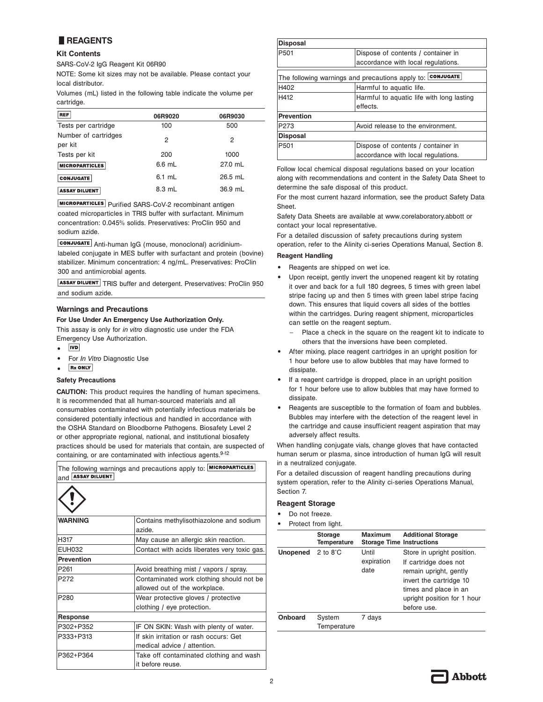## **lREAGENTS**

#### **Kit Contents**

SARS-CoV-2 IgG Reagent Kit 06R90

NOTE: Some kit sizes may not be available. Please contact your local distributor.

Volumes (mL) listed in the following table indicate the volume per cartridge.

| <b>REF</b>                      | 06R9020  | 06R9030 |
|---------------------------------|----------|---------|
| Tests per cartridge             | 100      | 500     |
| Number of cartridges<br>per kit | 2        | 2       |
| Tests per kit                   | 200      | 1000    |
| <b>MICROPARTICLES</b>           | $6.6$ mL | 27.0 mL |
| <b>CONJUGATE</b>                | $6.1$ mL | 26.5 mL |
| <b>ASSAY DILUENT</b>            | 8.3 mL   | 36.9 mL |

**MICROPARTICLES** Purified SARS-CoV-2 recombinant antigen

coated microparticles in TRIS buffer with surfactant. Minimum concentration: 0.045% solids. Preservatives: ProClin 950 and sodium azide.

conJUGATE Anti-human IgG (mouse, monoclonal) acridiniumlabeled conjugate in MES buffer with surfactant and protein (bovine) stabilizer. Minimum concentration: 4 ng/mL. Preservatives: ProClin 300 and antimicrobial agents.

ASSAY DILUENT TRIS buffer and detergent. Preservatives: ProClin 950 and sodium azide.

#### **Warnings and Precautions**

#### **For Use Under An Emergency Use Authorization Only.**

This assay is only for *in vitro* diagnostic use under the FDA Emergency Use Authorization.

- **IVD •**
- **•** For *In Vitro* Diagnostic Use
- **Rx ONLY •**

#### **Safety Precautions**

**CAUTION:** This product requires the handling of human specimens. It is recommended that all human-sourced materials and all consumables contaminated with potentially infectious materials be considered potentially infectious and handled in accordance with the OSHA Standard on Bloodborne Pathogens. Biosafety Level 2 or other appropriate regional, national, and institutional biosafety practices should be used for materials that contain, are suspected of containing, or are contaminated with infectious agents.<sup>9-12</sup>

| and <b>ASSAY DILUENT</b> | The following warnings and precautions apply to: MICROPARTICLES           |
|--------------------------|---------------------------------------------------------------------------|
|                          |                                                                           |
| <b>WARNING</b>           | Contains methylisothiazolone and sodium<br>azide.                         |
| H317                     | May cause an allergic skin reaction.                                      |
| <b>EUH032</b>            | Contact with acids liberates very toxic gas.                              |
| <b>Prevention</b>        |                                                                           |
| P <sub>261</sub>         | Avoid breathing mist / vapors / spray.                                    |
| P272                     | Contaminated work clothing should not be<br>allowed out of the workplace. |
| P280                     | Wear protective gloves / protective<br>clothing / eye protection.         |
| Response                 |                                                                           |
| P302+P352                | IF ON SKIN: Wash with plenty of water.                                    |
| P333+P313                | If skin irritation or rash occurs: Get<br>medical advice / attention.     |
| P362+P364                | Take off contaminated clothing and wash<br>it before reuse.               |

| <b>Disposal</b>   |                                                            |
|-------------------|------------------------------------------------------------|
| P <sub>501</sub>  | Dispose of contents / container in                         |
|                   | accordance with local regulations.                         |
|                   | The following warnings and precautions apply to: CONJUGATE |
| H402              | Harmful to aquatic life.                                   |
| H412              | Harmful to aguatic life with long lasting                  |
|                   | effects.                                                   |
| <b>Prevention</b> |                                                            |
| P273              | Avoid release to the environment.                          |
| <b>Disposal</b>   |                                                            |
| P501              | Dispose of contents / container in                         |
|                   | accordance with local regulations.                         |

Follow local chemical disposal regulations based on your location along with recommendations and content in the Safety Data Sheet to determine the safe disposal of this product.

For the most current hazard information, see the product Safety Data Sheet.

Safety Data Sheets are available at www.corelaboratory.abbott or contact your local representative.

For a detailed discussion of safety precautions during system operation, refer to the Alinity ci-series Operations Manual, Section 8.

#### **Reagent Handling**

- **•** Reagents are shipped on wet ice.
- **•** Upon receipt, gently invert the unopened reagent kit by rotating it over and back for a full 180 degrees, 5 times with green label stripe facing up and then 5 times with green label stripe facing down. This ensures that liquid covers all sides of the bottles within the cartridges. During reagent shipment, microparticles can settle on the reagent septum.
	- Place a check in the square on the reagent kit to indicate to others that the inversions have been completed.
- **•** After mixing, place reagent cartridges in an upright position for 1 hour before use to allow bubbles that may have formed to dissipate.
- **•** If a reagent cartridge is dropped, place in an upright position for 1 hour before use to allow bubbles that may have formed to dissipate.
- **•** Reagents are susceptible to the formation of foam and bubbles. Bubbles may interfere with the detection of the reagent level in the cartridge and cause insufficient reagent aspiration that may adversely affect results.

When handling conjugate vials, change gloves that have contacted human serum or plasma, since introduction of human IgG will result in a neutralized conjugate.

For a detailed discussion of reagent handling precautions during system operation, refer to the Alinity ci-series Operations Manual, Section 7.

#### **Reagent Storage**

**•** Do not freeze. **Protect from light** 

|                                      | <b>FIULCUL IIUIII IIUIII.</b> |                                             |                                                                                                                                                   |
|--------------------------------------|-------------------------------|---------------------------------------------|---------------------------------------------------------------------------------------------------------------------------------------------------|
|                                      | <b>Storage</b><br>Temperature | Maximum<br><b>Storage Time Instructions</b> | <b>Additional Storage</b>                                                                                                                         |
| <b>Unopened</b> $2$ to $8^{\circ}$ C |                               | Until                                       | Store in upright position.                                                                                                                        |
|                                      |                               | expiration<br>date                          | If cartridge does not<br>remain upright, gently<br>invert the cartridge 10<br>times and place in an<br>upright position for 1 hour<br>before use. |
| Onboard                              | System                        | 7 days                                      |                                                                                                                                                   |
|                                      | Temperature                   |                                             |                                                                                                                                                   |

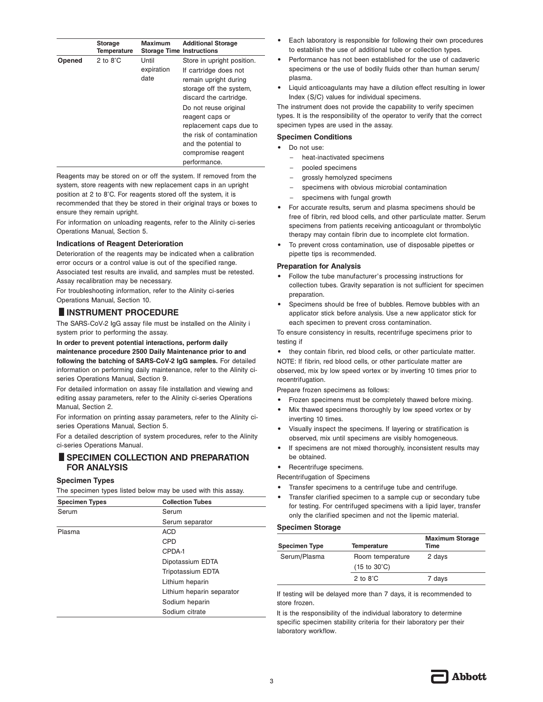|        | <b>Storage</b><br><b>Temperature</b> | <b>Maximum</b><br><b>Storage Time Instructions</b> | <b>Additional Storage</b>                                                                                                                                      |
|--------|--------------------------------------|----------------------------------------------------|----------------------------------------------------------------------------------------------------------------------------------------------------------------|
| Opened | 2 to $8^\circ$ C                     | Until<br>expiration<br>date                        | Store in upright position.<br>If cartridge does not<br>remain upright during<br>storage off the system,<br>discard the cartridge.                              |
|        |                                      |                                                    | Do not reuse original<br>reagent caps or<br>replacement caps due to<br>the risk of contamination<br>and the potential to<br>compromise reagent<br>performance. |

Reagents may be stored on or off the system. If removed from the system, store reagents with new replacement caps in an upright position at 2 to 8°C. For reagents stored off the system, it is recommended that they be stored in their original trays or boxes to ensure they remain upright.

For information on unloading reagents, refer to the Alinity ci-series Operations Manual, Section 5.

#### **Indications of Reagent Deterioration**

Deterioration of the reagents may be indicated when a calibration error occurs or a control value is out of the specified range. Associated test results are invalid, and samples must be retested.

Assay recalibration may be necessary. For troubleshooting information, refer to the Alinity ci-series

Operations Manual, Section 10.

### **lINSTRUMENT PROCEDURE**

The SARS-CoV-2 IgG assay file must be installed on the Alinity i system prior to performing the assay.

### **In order to prevent potential interactions, perform daily**

**maintenance procedure 2500 Daily Maintenance prior to and following the batching of SARS-CoV-2 IgG samples.** For detailed information on performing daily maintenance, refer to the Alinity ciseries Operations Manual, Section 9.

For detailed information on assay file installation and viewing and editing assay parameters, refer to the Alinity ci-series Operations Manual, Section 2.

For information on printing assay parameters, refer to the Alinity ciseries Operations Manual, Section 5.

For a detailed description of system procedures, refer to the Alinity ci-series Operations Manual.

#### **BISPECIMEN COLLECTION AND PREPARATION FOR ANALYSIS**

#### **Specimen Types**

The specimen types listed below may be used with this assay.

| <b>Specimen Types</b> | <b>Collection Tubes</b>   |  |  |
|-----------------------|---------------------------|--|--|
| Serum                 | Serum                     |  |  |
|                       | Serum separator           |  |  |
| Plasma                | <b>ACD</b>                |  |  |
|                       | <b>CPD</b>                |  |  |
|                       | CPDA-1                    |  |  |
|                       | Dipotassium EDTA          |  |  |
|                       | <b>Tripotassium EDTA</b>  |  |  |
|                       | Lithium heparin           |  |  |
|                       | Lithium heparin separator |  |  |
|                       | Sodium heparin            |  |  |
|                       | Sodium citrate            |  |  |
|                       |                           |  |  |

- **•** Each laboratory is responsible for following their own procedures to establish the use of additional tube or collection types.
- **•** Performance has not been established for the use of cadaveric specimens or the use of bodily fluids other than human serum/ plasma.
- **•** Liquid anticoagulants may have a dilution effect resulting in lower Index (S/C) values for individual specimens.

The instrument does not provide the capability to verify specimen types. It is the responsibility of the operator to verify that the correct specimen types are used in the assay.

#### **Specimen Conditions**

- **•** Do not use:
	- heat-inactivated specimens
	- pooled specimens
	- grossly hemolyzed specimens
	- specimens with obvious microbial contamination
	- specimens with fungal growth
- **•** For accurate results, serum and plasma specimens should be free of fibrin, red blood cells, and other particulate matter. Serum specimens from patients receiving anticoagulant or thrombolytic therapy may contain fibrin due to incomplete clot formation.
- **•** To prevent cross contamination, use of disposable pipettes or pipette tips is recommended.

#### **Preparation for Analysis**

- **•** Follow the tube manufacturer's processing instructions for collection tubes. Gravity separation is not sufficient for specimen preparation.
- **•** Specimens should be free of bubbles. Remove bubbles with an applicator stick before analysis. Use a new applicator stick for each specimen to prevent cross contamination.

To ensure consistency in results, recentrifuge specimens prior to testing if

**•** they contain fibrin, red blood cells, or other particulate matter. NOTE: If fibrin, red blood cells, or other particulate matter are observed, mix by low speed vortex or by inverting 10 times prior to recentrifugation.

Prepare frozen specimens as follows:

- **•** Frozen specimens must be completely thawed before mixing.
- **•** Mix thawed specimens thoroughly by low speed vortex or by inverting 10 times.
- **•** Visually inspect the specimens. If layering or stratification is observed, mix until specimens are visibly homogeneous.
- **•** If specimens are not mixed thoroughly, inconsistent results may be obtained.

**•** Recentrifuge specimens.

Recentrifugation of Specimens

- **•** Transfer specimens to a centrifuge tube and centrifuge.
- **•** Transfer clarified specimen to a sample cup or secondary tube for testing. For centrifuged specimens with a lipid layer, transfer only the clarified specimen and not the lipemic material.

#### **Specimen Storage**

| <b>Specimen Type</b> | <b>Temperature</b>                                        | <b>Maximum Storage</b><br>Time |
|----------------------|-----------------------------------------------------------|--------------------------------|
| Serum/Plasma         | Room temperature<br>$(15 \text{ to } 30^{\circ}\text{C})$ | 2 days                         |
|                      | 2 to $8^\circ$ C                                          | 7 days                         |

If testing will be delayed more than 7 days, it is recommended to store frozen.

It is the responsibility of the individual laboratory to determine specific specimen stability criteria for their laboratory per their laboratory workflow.

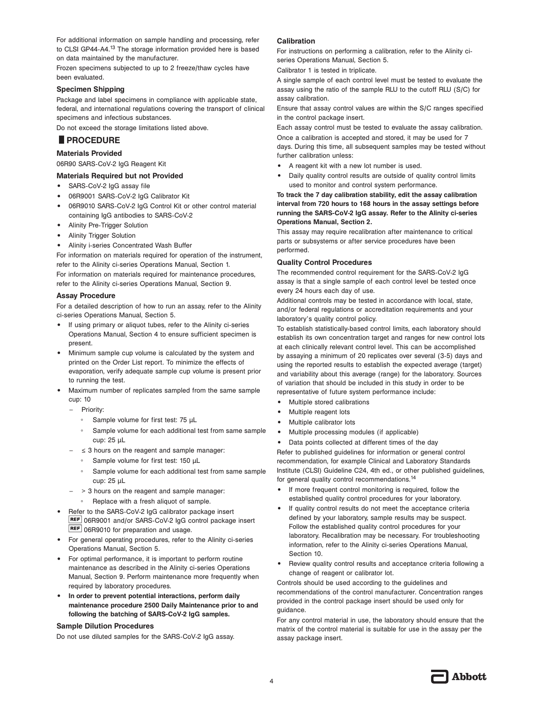For additional information on sample handling and processing, refer to CLSI GP44-A4.13 The storage information provided here is based on data maintained by the manufacturer.

Frozen specimens subjected to up to 2 freeze/thaw cycles have been evaluated.

#### **Specimen Shipping**

Package and label specimens in compliance with applicable state, federal, and international regulations covering the transport of clinical specimens and infectious substances.

Do not exceed the storage limitations listed above.

# specimens and infect<br>Do not exceed the st<br>**PROCEDURE**

#### **Materials Provided**

06R90 SARS-CoV-2 IgG Reagent Kit

#### **Materials Required but not Provided**

- **•** SARS-CoV-2 IgG assay file
- **•** 06R9001 SARS-CoV-2 IgG Calibrator Kit
- **•** 06R9010 SARS-CoV-2 IgG Control Kit or other control material containing IgG antibodies to SARS-CoV-2
- **•** Alinity Pre-Trigger Solution
- **•** Alinity Trigger Solution
- **•** Alinity i-series Concentrated Wash Buffer

For information on materials required for operation of the instrument, refer to the Alinity ci-series Operations Manual, Section 1.

For information on materials required for maintenance procedures, refer to the Alinity ci-series Operations Manual, Section 9.

#### **Assay Procedure**

For a detailed description of how to run an assay, refer to the Alinity ci-series Operations Manual, Section 5.

- **•** If using primary or aliquot tubes, refer to the Alinity ci-series Operations Manual, Section 4 to ensure sufficient specimen is present.
- **•** Minimum sample cup volume is calculated by the system and printed on the Order List report. To minimize the effects of evaporation, verify adequate sample cup volume is present prior to running the test.
- **•** Maximum number of replicates sampled from the same sample cup: 10
	- Priority:
		- Sample volume for first test: 75 µL
		- Sample volume for each additional test from same sample cup: 25 µL
	- $\leq$  3 hours on the reagent and sample manager:
		- Sample volume for first test: 150 µL
		- Sample volume for each additional test from same sample cup: 25 µL
	- $-$  > 3 hours on the reagent and sample manager:
		- Replace with a fresh aliquot of sample.
- **•** Refer to the SARS-CoV-2 IgG calibrator package insert REF 06R9001 and/or SARS-CoV-2 IgG control package insert **REF** 06R9010 for preparation and usage.
- **•** For general operating procedures, refer to the Alinity ci-series Operations Manual, Section 5.
- **•** For optimal performance, it is important to perform routine maintenance as described in the Alinity ci-series Operations Manual, Section 9. Perform maintenance more frequently when required by laboratory procedures.
- **• In order to prevent potential interactions, perform daily maintenance procedure 2500 Daily Maintenance prior to and following the batching of SARS-CoV-2 IgG samples.**

#### **Sample Dilution Procedures**

Do not use diluted samples for the SARS-CoV-2 IgG assay.

#### **Calibration**

For instructions on performing a calibration, refer to the Alinity ciseries Operations Manual, Section 5.

Calibrator 1 is tested in triplicate.

A single sample of each control level must be tested to evaluate the assay using the ratio of the sample RLU to the cutoff RLU (S/C) for assay calibration.

Ensure that assay control values are within the S/C ranges specified in the control package insert.

Each assay control must be tested to evaluate the assay calibration.

Once a calibration is accepted and stored, it may be used for 7 days. During this time, all subsequent samples may be tested without further calibration unless:

- **•** A reagent kit with a new lot number is used.
- **•** Daily quality control results are outside of quality control limits used to monitor and control system performance.

#### **To track the 7 day calibration stability, edit the assay calibration interval from 720 hours to 168 hours in the assay settings before running the SARS-CoV-2 IgG assay. Refer to the Alinity ci-series Operations Manual, Section 2.**

This assay may require recalibration after maintenance to critical parts or subsystems or after service procedures have been performed.

#### **Quality Control Procedures**

The recommended control requirement for the SARS-CoV-2 IgG assay is that a single sample of each control level be tested once every 24 hours each day of use.

Additional controls may be tested in accordance with local, state, and/or federal regulations or accreditation requirements and your laboratory's quality control policy.

To establish statistically-based control limits, each laboratory should establish its own concentration target and ranges for new control lots at each clinically relevant control level. This can be accomplished by assaying a minimum of 20 replicates over several (3-5) days and using the reported results to establish the expected average (target) and variability about this average (range) for the laboratory. Sources of variation that should be included in this study in order to be representative of future system performance include:

- **•** Multiple stored calibrations
- **•** Multiple reagent lots
- **•** Multiple calibrator lots
- **•** Multiple processing modules (if applicable)
- **•** Data points collected at different times of the day

Refer to published guidelines for information or general control recommendation, for example Clinical and Laboratory Standards Institute (CLSI) Guideline C24, 4th ed., or other published guidelines, for general quality control recommendations.<sup>14</sup>

- **•** If more frequent control monitoring is required, follow the established quality control procedures for your laboratory.
- **•** If quality control results do not meet the acceptance criteria defined by your laboratory, sample results may be suspect. Follow the established quality control procedures for your laboratory. Recalibration may be necessary. For troubleshooting information, refer to the Alinity ci-series Operations Manual, Section 10.
- **•** Review quality control results and acceptance criteria following a change of reagent or calibrator lot.

Controls should be used according to the guidelines and recommendations of the control manufacturer. Concentration ranges provided in the control package insert should be used only for guidance.

For any control material in use, the laboratory should ensure that the matrix of the control material is suitable for use in the assay per the assay package insert.

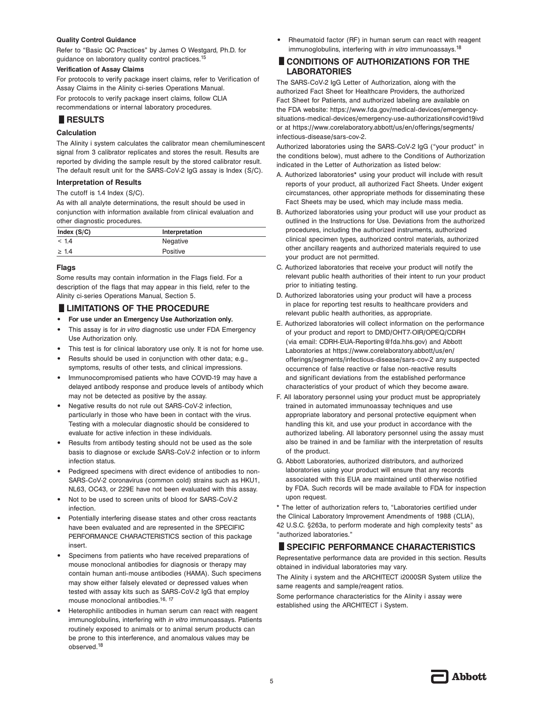#### **Quality Control Guidance**

Refer to "Basic QC Practices" by James O Westgard, Ph.D. for guidance on laboratory quality control practices.15

#### **Verification of Assay Claims**

For protocols to verify package insert claims, refer to Verification of Assay Claims in the Alinity ci-series Operations Manual.

For protocols to verify package insert claims, follow CLIA recommendations or internal laboratory procedures. For protocols to<br>recommendation<br>**RESULTS** 

#### **Calculation**

The Alinity i system calculates the calibrator mean chemiluminescent signal from 3 calibrator replicates and stores the result. Results are reported by dividing the sample result by the stored calibrator result. The default result unit for the SARS-CoV-2 IgG assay is Index (S/C).

#### **Interpretation of Results**

The cutoff is 1.4 Index (S/C).

As with all analyte determinations, the result should be used in conjunction with information available from clinical evaluation and other diagnostic procedures.

| Index $(S/C)$ | Interpretation |
|---------------|----------------|
| < 1.4         | Negative       |
| $\geq 1.4$    | Positive       |

#### **Flags**

Some results may contain information in the Flags field. For a description of the flags that may appear in this field, refer to the<br>Alinity ci-series Operations Manual, Section 5.<br> **ELIMITATIONS OF THE PROCEDURE**<br>
• For use under an Emergency Use Authorization only. Alinity ci-series Operations Manual, Section 5.

- **• For use under an Emergency Use Authorization only.**
- **•** This assay is for *in vitro* diagnostic use under FDA Emergency Use Authorization only.
- **•** This test is for clinical laboratory use only. It is not for home use.
- **•** Results should be used in conjunction with other data; e.g., symptoms, results of other tests, and clinical impressions.
- **•** Immunocompromised patients who have COVID-19 may have a delayed antibody response and produce levels of antibody which may not be detected as positive by the assay.
- **•** Negative results do not rule out SARS-CoV-2 infection, particularly in those who have been in contact with the virus. Testing with a molecular diagnostic should be considered to evaluate for active infection in these individuals.
- **•** Results from antibody testing should not be used as the sole basis to diagnose or exclude SARS-CoV-2 infection or to inform infection status.
- **•** Pedigreed specimens with direct evidence of antibodies to non-SARS-CoV-2 coronavirus (common cold) strains such as HKU1, NL63, OC43, or 229E have not been evaluated with this assay.
- **•** Not to be used to screen units of blood for SARS-CoV-2 infection.
- **•** Potentially interfering disease states and other cross reactants have been evaluated and are represented in the SPECIFIC PERFORMANCE CHARACTERISTICS section of this package insert.
- **•** Specimens from patients who have received preparations of mouse monoclonal antibodies for diagnosis or therapy may contain human anti-mouse antibodies (HAMA). Such specimens may show either falsely elevated or depressed values when tested with assay kits such as SARS-CoV-2 IgG that employ mouse monoclonal antibodies.<sup>16, 17</sup>
- **•** Heterophilic antibodies in human serum can react with reagent immunoglobulins, interfering with *in vitro* immunoassays. Patients routinely exposed to animals or to animal serum products can be prone to this interference, and anomalous values may be observed.18

**•** Rheumatoid factor (RF) in human serum can react with reagent immunoglobulins, interfering with *in vitro* immunoassays.18

#### **CONDITIONS OF AUTHORIZATIONS FOR THE LABORATORIES**

The SARS-CoV-2 IgG Letter of Authorization, along with the authorized Fact Sheet for Healthcare Providers, the authorized Fact Sheet for Patients, and authorized labeling are available on the FDA website: https://www.fda.gov/medical-devices/emergencysituations-medical-devices/emergency-use-authorizations#covid19ivd or at https://www.corelaboratory.abbott/us/en/offerings/segments/ infectious-disease/sars-cov-2.

Authorized laboratories using the SARS-CoV-2 IgG ("your product" in the conditions below), must adhere to the Conditions of Authorization indicated in the Letter of Authorization as listed below:

- A. Authorized laboratories\* using your product will include with result reports of your product, all authorized Fact Sheets. Under exigent circumstances, other appropriate methods for disseminating these Fact Sheets may be used, which may include mass media.
- B. Authorized laboratories using your product will use your product as outlined in the Instructions for Use. Deviations from the authorized procedures, including the authorized instruments, authorized clinical specimen types, authorized control materials, authorized other ancillary reagents and authorized materials required to use your product are not permitted.
- C. Authorized laboratories that receive your product will notify the relevant public health authorities of their intent to run your product prior to initiating testing.
- D. Authorized laboratories using your product will have a process in place for reporting test results to healthcare providers and relevant public health authorities, as appropriate.
- E. Authorized laboratories will collect information on the performance of your product and report to DMD/OHT7-OIR/OPEQ/CDRH (via email: CDRH-EUA-Reporting@fda.hhs.gov) and Abbott Laboratories at https://www.corelaboratory.abbott/us/en/ offerings/segments/infectious-disease/sars-cov-2 any suspected occurrence of false reactive or false non-reactive results and significant deviations from the established performance characteristics of your product of which they become aware.
- F. All laboratory personnel using your product must be appropriately trained in automated immunoassay techniques and use appropriate laboratory and personal protective equipment when handling this kit, and use your product in accordance with the authorized labeling. All laboratory personnel using the assay must also be trained in and be familiar with the interpretation of results of the product.
- G. Abbott Laboratories, authorized distributors, and authorized laboratories using your product will ensure that any records associated with this EUA are maintained until otherwise notified by FDA. Such records will be made available to FDA for inspection upon request.

\* The letter of authorization refers to, "Laboratories certified under the Clinical Laboratory Improvement Amendments of 1988 (CLIA), 42 U.S.C. §263a, to perform moderate and high complexity tests<sup>"</sup> as<br>
<sup>a</sup> sauthorized laboratories."<br>
■ SPECIFIC PERFORMANCE CHARACTERISTICS<br>
Representative performance data are provided in this section. Besults "authorized laboratories."

Representative performance data are provided in this section. Results obtained in individual laboratories may vary.

The Alinity i system and the ARCHITECT i2000SR System utilize the same reagents and sample/reagent ratios.

Some performance characteristics for the Alinity i assay were established using the ARCHITECT i System.

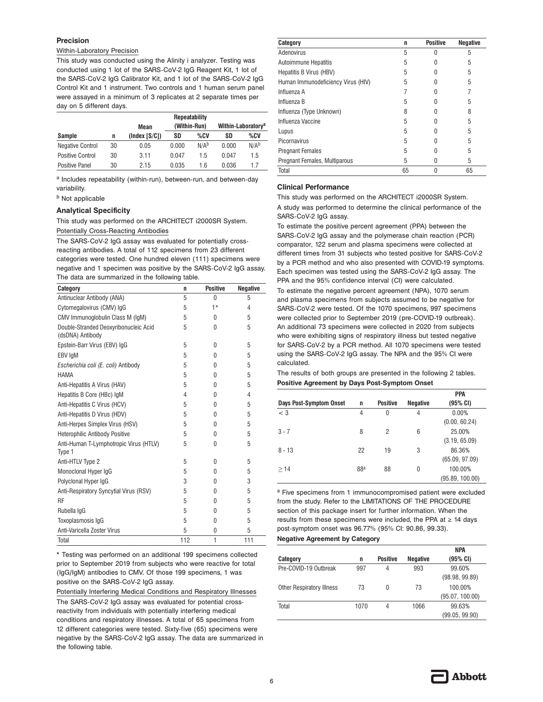#### **Precision**

#### Within-Laboratory Precision

This study was conducted using the Alinity i analyzer. Testing was conducted using 1 lot of the SARS-CoV-2 IgG Reagent Kit, 1 lot of the SARS-CoV-2 IgG Calibrator Kit, and 1 lot of the SARS-CoV-2 IgG Control Kit and 1 instrument. Two controls and 1 human serum panel were assayed in a minimum of 3 replicates at 2 separate times per day on 5 different days.

|                         |    | Repeatability        |       |                                |       |                  |  |
|-------------------------|----|----------------------|-------|--------------------------------|-------|------------------|--|
|                         |    | (Within-Run)<br>Mean |       | Within-Laboratory <sup>a</sup> |       |                  |  |
| <b>Sample</b>           | n  | (Index [S/C])        | SD    | %CV                            | SD    | %CV              |  |
| <b>Negative Control</b> | 30 | 0.05                 | 0.000 | N/A <sup>b</sup>               | 0.000 | N/A <sup>b</sup> |  |
| <b>Positive Control</b> | 30 | 3.11                 | 0.047 | 1.5                            | 0.047 | 1.5              |  |
| <b>Positive Panel</b>   | 30 | 2.15                 | 0.035 | 1.6                            | 0.036 | 17               |  |

a Includes repeatability (within-run), between-run, and between-day variability.

**b** Not applicable

#### **Analytical Specificity**

This study was performed on the ARCHITECT i2000SR System.

Potentially Cross-Reacting Antibodies

The SARS-CoV-2 IgG assay was evaluated for potentially crossreacting antibodies. A total of 112 specimens from 23 different categories were tested. One hundred eleven (111) specimens were negative and 1 specimen was positive by the SARS-CoV-2 IgG assay. The data are summarized in the following table.

| Category                                                  | n   | <b>Positive</b> | <b>Negative</b> |
|-----------------------------------------------------------|-----|-----------------|-----------------|
| Antinuclear Antibody (ANA)                                | 5   | $\Omega$        | 5               |
| Cytomegalovirus (CMV) IgG                                 | 5   | $1*$            | 4               |
| CMV Immunoglobulin Class M (IqM)                          | 5   | <sup>0</sup>    | 5               |
| Double-Stranded Deoxyribonucleic Acid<br>(dsDNA) Antibody | 5   | 0               | 5               |
| Epstein-Barr Virus (EBV) IgG                              | 5   | $\Omega$        | 5               |
| EBV IgM                                                   | 5   | $\theta$        | 5               |
| Escherichia coli (E. coli) Antibody                       | 5   | 0               | 5               |
| HAMA                                                      | 5   | $\theta$        | 5               |
| Anti-Hepatitis A Virus (HAV)                              | 5   | $\theta$        | 5               |
| Hepatitis B Core (HBc) IgM                                | 4   | 0               | 4               |
| Anti-Hepatitis C Virus (HCV)                              | 5   | $\theta$        | 5               |
| Anti-Hepatitis D Virus (HDV)                              | 5   | U               | 5               |
| Anti-Herpes Simplex Virus (HSV)                           | 5   | <sup>0</sup>    | 5               |
| <b>Heterophilic Antibody Positive</b>                     | 5   | $\Omega$        | 5               |
| Anti-Human T-Lymphotropic Virus (HTLV)<br>Type 1          | 5   | 0               | 5               |
| Anti-HTLV Type 2                                          | 5   | $\Omega$        | 5               |
| Monoclonal Hyper IgG                                      | 5   | <sup>0</sup>    | 5               |
| Polyclonal Hyper IgG                                      | 3   | 0               | 3               |
| Anti-Respiratory Syncytial Virus (RSV)                    | 5   | 0               | 5               |
| <b>RF</b>                                                 | 5   | $\Omega$        | 5               |
| Rubella IgG                                               | 5   | 0               | 5               |
| Toxoplasmosis IqG                                         | 5   | O               | 5               |
| Anti-Varicella Zoster Virus                               | 5   | $\mathbf{0}$    | 5               |
| Total                                                     | 112 | 1               | 111             |

\* Testing was performed on an additional 199 specimens collected prior to September 2019 from subjects who were reactive for total (IgG/IgM) antibodies to CMV. Of those 199 specimens, 1 was positive on the SARS-CoV-2 IgG assay.

Potentially Interfering Medical Conditions and Respiratory Illnesses The SARS-CoV-2 IgG assay was evaluated for potential crossreactivity from individuals with potentially interfering medical conditions and respiratory illnesses. A total of 65 specimens from 12 different categories were tested. Sixty-five (65) specimens were negative by the SARS-CoV-2 IgG assay. The data are summarized in the following table.

| Category                           | n  | <b>Positive</b> | <b>Negative</b> |
|------------------------------------|----|-----------------|-----------------|
| Adenovirus                         | 5  | O               | 5               |
| <b>Autoimmune Hepatitis</b>        | 5  |                 | 5               |
| Hepatitis B Virus (HBV)            | 5  |                 | 5               |
| Human Immunodeficiency Virus (HIV) | 5  |                 | 5               |
| Influenza A                        |    |                 |                 |
| Influenza B                        | 5  |                 | 5               |
| Influenza (Type Unknown)           | 8  |                 | 8               |
| Influenza Vaccine                  | 5  |                 | 5               |
| Lupus                              | 5  |                 | 5               |
| Picornavirus                       | 5  |                 | 5               |
| <b>Pregnant Females</b>            | 5  | U               | 5               |
| Pregnant Females, Multiparous      | 5  | 0               | 5               |
| Total                              | 65 | 0               | 65              |

#### **Clinical Performance**

This study was performed on the ARCHITECT i2000SR System. A study was performed to determine the clinical performance of the SARS-CoV-2 IgG assay.

To estimate the positive percent agreement (PPA) between the SARS-CoV-2 IgG assay and the polymerase chain reaction (PCR) comparator, 122 serum and plasma specimens were collected at different times from 31 subjects who tested positive for SARS-CoV-2 by a PCR method and who also presented with COVID-19 symptoms. Each specimen was tested using the SARS-CoV-2 IgG assay. The PPA and the 95% confidence interval (CI) were calculated.

To estimate the negative percent agreement (NPA), 1070 serum and plasma specimens from subjects assumed to be negative for SARS-CoV-2 were tested. Of the 1070 specimens, 997 specimens were collected prior to September 2019 (pre-COVID-19 outbreak). An additional 73 specimens were collected in 2020 from subjects who were exhibiting signs of respiratory illness but tested negative for SARS-CoV-2 by a PCR method. All 1070 specimens were tested using the SARS-CoV-2 IgG assay. The NPA and the 95% CI were calculated.

The results of both groups are presented in the following 2 tables. **Positive Agreement by Days Post-Symptom Onset**

|                                |                 |                 |                 | <b>PPA</b>      |
|--------------------------------|-----------------|-----------------|-----------------|-----------------|
| <b>Days Post-Symptom Onset</b> | n               | <b>Positive</b> | <b>Negative</b> | (95% CI)        |
| $<$ 3                          | 4               | 0               | 4               | 0.00%           |
|                                |                 |                 |                 | (0.00, 60.24)   |
| $3 - 7$                        | 8               | 2               | 6               | 25.00%          |
|                                |                 |                 |                 | (3.19, 65.09)   |
| $8 - 13$                       | 22              | 19              | 3               | 86.36%          |
|                                |                 |                 |                 | (65.09, 97.09)  |
| >14                            | 88 <sup>a</sup> | 88              | 0               | 100.00%         |
|                                |                 |                 |                 | (95.89, 100.00) |

a Five specimens from 1 immunocompromised patient were excluded from the study. Refer to the LIMITATIONS OF THE PROCEDURE section of this package insert for further information. When the results from these specimens were included, the PPA at  $\geq$  14 days post-symptom onset was 96.77% (95% CI: 90.86, 99.33).

#### **Negative Agreement by Category**

|                                  |      |                 |                 | <b>NPA</b>      |
|----------------------------------|------|-----------------|-----------------|-----------------|
| Category                         | n    | <b>Positive</b> | <b>Negative</b> | (95% CI)        |
| Pre-COVID-19 Outbreak            | 997  | 4               | 993             | 99.60%          |
|                                  |      |                 |                 | (98.98, 99.89)  |
| <b>Other Respiratory Illness</b> | 73   | 0               | 73              | 100.00%         |
|                                  |      |                 |                 | (95.07, 100.00) |
| Total                            | 1070 | 4               | 1066            | 99.63%          |
|                                  |      |                 |                 | (99.05, 99.90)  |

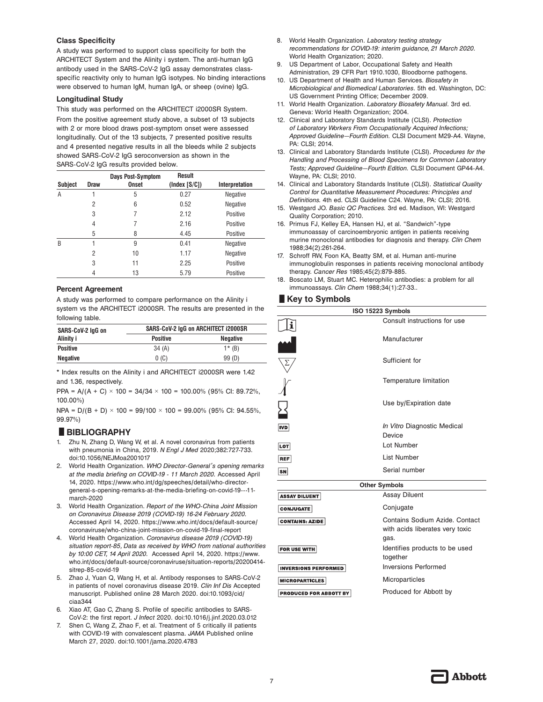#### **Class Specificity**

A study was performed to support class specificity for both the ARCHITECT System and the Alinity i system. The anti-human IgG antibody used in the SARS-CoV-2 IgG assay demonstrates classspecific reactivity only to human IgG isotypes. No binding interactions were observed to human IgM, human IgA, or sheep (ovine) IgG.

#### **Longitudinal Study**

This study was performed on the ARCHITECT i2000SR System. From the positive agreement study above, a subset of 13 subjects with 2 or more blood draws post-symptom onset were assessed longitudinally. Out of the 13 subjects, 7 presented positive results and 4 presented negative results in all the bleeds while 2 subjects showed SARS-CoV-2 IgG seroconversion as shown in the SARS-CoV-2 IgG results provided below.

|         |                | Days Post-Symptom | Result        |                |
|---------|----------------|-------------------|---------------|----------------|
| Subject | <b>Draw</b>    | <b>Onset</b>      | (Index [S/C]) | Interpretation |
| Α       |                | 5                 | 0.27          | Negative       |
|         | $\overline{2}$ | 6                 | 0.52          | Negative       |
|         | 3              | 7                 | 2.12          | Positive       |
|         | 4              | 7                 | 2.16          | Positive       |
|         | 5              | 8                 | 4.45          | Positive       |
| B       |                | 9                 | 0.41          | Negative       |
|         | 2              | 10                | 1.17          | Negative       |
|         | 3              | 11                | 2.25          | Positive       |
|         | 4              | 13                | 5.79          | Positive       |

#### **Percent Agreement**

A study was performed to compare performance on the Alinity i system vs the ARCHITECT i2000SR. The results are presented in the following table.

| SARS-CoV-2 lgG on | SARS-CoV-2 IgG on ARCHITECT I2000SR |                 |  |
|-------------------|-------------------------------------|-----------------|--|
| Alinity i         | <b>Positive</b>                     | <b>Negative</b> |  |
| <b>Positive</b>   | 34(A)                               | $1*$ (B)        |  |
| Negative          | 0(0)                                | 99 (D)          |  |

\* Index results on the Alinity i and ARCHITECT i2000SR were 1.42 and 1.36, respectively.

PPA = A/(A + C)  $\times$  100 = 34/34  $\times$  100 = 100.00% (95% CI: 89.72%, 100.00%)

NPA = D/(B + D) × 100 = 99/100 × 100 = 99.00% (95% CI: 94.55%,<br>99.97%)<br>**■ BIBLIOGRAPHY**<br>1. Zhu N, Zhang D, Wang W, et al. A novel coronavirus from patients 99.97%)

- 1. Zhu N, Zhang D, Wang W, et al. A novel coronavirus from patients with pneumonia in China, 2019. *N Engl J Med* 2020;382:727-733. doi:10.1056/NEJMoa2001017
- 2. World Health Organization. *WHO Director-General's opening remarks at the media briefing on COVID-19 - 11 March 2020.* Accessed April 14, 2020. https://www.who.int/dg/speeches/detail/who-directorgeneral-s-opening-remarks-at-the-media-briefing-on-covid-19---11 march-2020
- 3. World Health Organization. *Report of the WHO-China Joint Mission on Coronavirus Disease 2019 (COVID-19) 16-24 February 2020.* Accessed April 14, 2020. https://www.who.int/docs/default-source/ coronaviruse/who-china-joint-mission-on-covid-19-final-report
- 4. World Health Organization. *Coronavirus disease 2019 (COVID-19) situation report-85, Data as received by WHO from national authorities by 10:00 CET, 14 April 2020.* Accessed April 14, 2020. https://www. who.int/docs/default-source/coronaviruse/situation-reports/20200414 sitrep-85-covid-19
- 5. Zhao J, Yuan Q, Wang H, et al. Antibody responses to SARS-CoV-2 in patients of novel coronavirus disease 2019. *Clin Inf Dis* Accepted manuscript. Published online 28 March 2020. doi:10.1093/cid/ ciaa344
- 6. Xiao AT, Gao C, Zhang S. Profile of specific antibodies to SARS-CoV-2: the first report. *J Infect* 2020. doi:10.1016/j.jinf.2020.03.012
- 7. Shen C, Wang Z, Zhao F, et al. Treatment of 5 critically ill patients with COVID-19 with convalescent plasma. *JAMA* Published online March 27, 2020. doi:10.1001/jama.2020.4783
- 8. World Health Organization. *Laboratory testing strategy recommendations for COVID-19: interim guidance, 21 March 2020.* World Health Organization; 2020.
- 9. US Department of Labor, Occupational Safety and Health Administration, 29 CFR Part 1910.1030, Bloodborne pathogens.
- 10. US Department of Health and Human Services. *Biosafety in Microbiological and Biomedical Laboratories*. 5th ed. Washington, DC: US Government Printing Office; December 2009.
- 11. World Health Organization. *Laboratory Biosafety Manual*. 3rd ed. Geneva: World Health Organization; 2004.
- 12. Clinical and Laboratory Standards Institute (CLSI). *Protection of Laboratory Workers From Occupationally Acquired Infections; Approved Guideline—Fourth Edition.* CLSI Document M29-A4. Wayne, PA: CLSI; 2014.
- 13. Clinical and Laboratory Standards Institute (CLSI). *Procedures for the Handling and Processing of Blood Specimens for Common Laboratory Tests; Approved Guideline—Fourth Edition.* CLSI Document GP44-A4. Wayne, PA: CLSI; 2010.
- 14. Clinical and Laboratory Standards Institute (CLSI). *Statistical Quality Control for Quantitative Measurement Procedures: Principles and Definitions.* 4th ed. CLSI Guideline C24. Wayne, PA: CLSI; 2016.
- 15. Westgard JO. *Basic QC Practices.* 3rd ed. Madison, WI: Westgard Quality Corporation; 2010.
- 16. Primus FJ, Kelley EA, Hansen HJ, et al. "Sandwich"-type immunoassay of carcinoembryonic antigen in patients receiving murine monoclonal antibodies for diagnosis and therapy. *Clin Chem* 1988;34(2):261-264.
- 17. Schroff RW, Foon KA, Beatty SM, et al. Human anti-murine immunoglobulin responses in patients receiving monoclonal antibody therapy. *Cancer Res* 1985;45(2):879-885.
- therapy. Cancer Hes 1985;45(2):879-885.<br>
18. Boscato LM, Stuart MC. Heterophilic antibodies: a problem for all<br>
limmunoassays. Clin Chem 1988;34(1):27-33.<br>
 Key to Symbols<br>
 ISO 15223 Symbols immunoassays. *Clin Chem* 1988;34(1):27-33..

| ISO 15223 Symbols           |                                                                           |  |
|-----------------------------|---------------------------------------------------------------------------|--|
| i                           | Consult instructions for use                                              |  |
|                             | Manufacturer                                                              |  |
|                             | Sufficient for                                                            |  |
|                             | Temperature limitation                                                    |  |
| $\bm{\Sigma}$               | Use by/Expiration date                                                    |  |
| <b>IVD</b>                  | In Vitro Diagnostic Medical<br>Device                                     |  |
| <b>LOT</b>                  | Lot Number                                                                |  |
| <b>REF</b>                  | <b>List Number</b>                                                        |  |
| SN                          | Serial number                                                             |  |
| <b>Other Symbols</b>        |                                                                           |  |
| <b>ASSAY DILUENT</b>        | <b>Assay Diluent</b>                                                      |  |
| <b>CONJUGATE</b>            | Conjugate                                                                 |  |
| <b>CONTAINS: AZIDE</b>      | Contains Sodium Azide. Contact<br>with acids liberates very toxic<br>gas. |  |
| FOR USE WITH                | Identifies products to be used<br>together                                |  |
| <b>INVERSIONS PERFORMED</b> | <b>Inversions Performed</b>                                               |  |
| <b>MICROPARTICLES</b>       | Microparticles                                                            |  |
| PRODUCED FOR ABBOTT BY      | Produced for Abbott by                                                    |  |

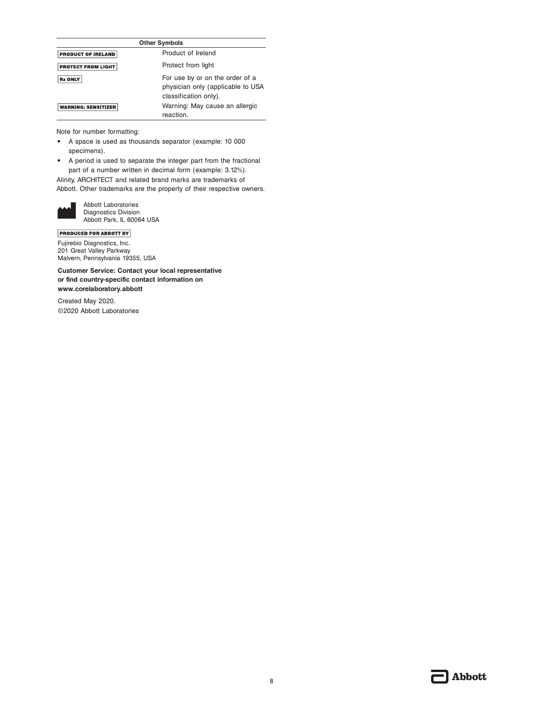| <b>Other Symbols</b>       |                                                                                               |
|----------------------------|-----------------------------------------------------------------------------------------------|
| <b>PRODUCT OF IRELAND</b>  | Product of Ireland                                                                            |
| <b>PROTECT FROM LIGHT</b>  | Protect from light                                                                            |
| <b>Rx ONLY</b>             | For use by or on the order of a<br>physician only (applicable to USA<br>classification only). |
| <b>WARNING: SENSITIZER</b> | Warning: May cause an allergic<br>reaction.                                                   |

Note for number formatting:

- **•** A space is used as thousands separator (example: 10 000 specimens).
- **•** A period is used to separate the integer part from the fractional part of a number written in decimal form (example: 3.12%).

Alinity, ARCHITECT and related brand marks are trademarks of Abbott. Other trademarks are the property of their respective owners.



Abbott Laboratories Diagnostics Division Abbott Park, IL 60064 USA

**PRODUCED FOR ABBOTT BY** 

Fujirebio Diagnostics, Inc. 201 Great Valley Parkway Malvern, Pennsylvania 19355, USA

**Customer Service: Contact your local representative or find country-specific contact information on www.corelaboratory.abbott**

Created May 2020. ©2020 Abbott Laboratories

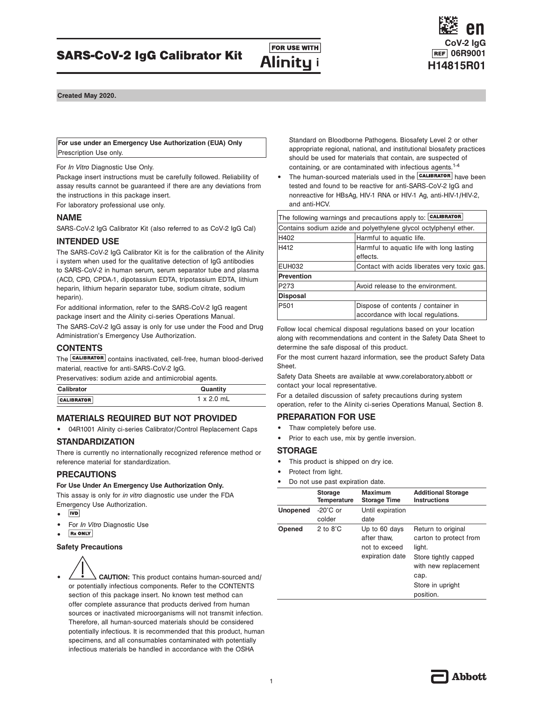### H412 **Harmful to aquatic life with long lasting** Contact with acids liberates very toxic gas.

| ⊏∪⊓∪∪∠     | <b>OUTILGUE WILLI QUIUS INDUCTURES VEIV LUXIU YOU</b> |
|------------|-------------------------------------------------------|
| Prevention |                                                       |
| P273       | Avoid release to the environment.                     |
| Disposal   |                                                       |
| P501       | Dispose of contents / container in                    |
|            | accordance with local regulations.                    |
|            |                                                       |

Follow local chemical disposal regulations based on your location along with recommendations and content in the Safety Data Sheet to determine the safe disposal of this product.

For the most current hazard information, see the product Safety Data Sheet.

Safety Data Sheets are available at www.corelaboratory.abbott or contact your local representative.

For a detailed discussion of safety precautions during system operation, refer to the Alinity ci-series Operations Manual, Section 8.

#### **PREPARATION FOR USE**

- Thaw completely before use.
- **•** Prior to each use, mix by gentle inversion.

#### **STORAGE**

- **•** This product is shipped on dry ice.
- **•** Protect from light.
- **•** Do not use past expiration date.

| <b>Unopened</b> | $-20^{\circ}$ C or<br>colder<br>2 to $8^\circ$ C | Until expiration<br>date                                         |                                                                                                                                                 |
|-----------------|--------------------------------------------------|------------------------------------------------------------------|-------------------------------------------------------------------------------------------------------------------------------------------------|
|                 |                                                  |                                                                  |                                                                                                                                                 |
| Opened          |                                                  | Up to 60 days<br>after thaw.<br>not to exceed<br>expiration date | Return to original<br>carton to protect from<br>light.<br>Store tightly capped<br>with new replacement<br>cap.<br>Store in upright<br>position. |

should be used for materials that contain, are suspected of

H402 **Harmful to aquatic life.** 

**•** The **CALIBRATOR** have been or anti-SARS-CoV-2 IgG and A or HIV-1 Ag, anti-HIV-1/HIV-2,

| Package insert instructions must be carefully followed. Reliability of<br>assay results cannot be guaranteed if there are any deviations from<br>the instructions in this package insert.<br>For laboratory professional use only. | • The human-sourced materials used in the <b>CALIBRATOR</b> have b<br>tested and found to be reactive for anti-SARS-CoV-2 lgG and<br>nonreactive for HBsAq, HIV-1 RNA or HIV-1 Aq, anti-HIV-1/HIV-<br>and anti-HCV. |
|------------------------------------------------------------------------------------------------------------------------------------------------------------------------------------------------------------------------------------|---------------------------------------------------------------------------------------------------------------------------------------------------------------------------------------------------------------------|
| <b>NAME</b>                                                                                                                                                                                                                        | The following warnings and precautions apply to: CALIBRATOR                                                                                                                                                         |
| SARS-CoV-2 IgG Calibrator Kit (also referred to as CoV-2 IgG Cal)                                                                                                                                                                  | Contains sodium azide and polyethylene glycol octylphenyl ether.                                                                                                                                                    |

| THE UNITED YOUR LIGHT OWNER TO THE REPORT OF THE THINGS                                                                             |                   | leffects. |
|-------------------------------------------------------------------------------------------------------------------------------------|-------------------|-----------|
| i system when used for the qualitative detection of IqG antibodies<br>to SARS-CoV-2 in human serum, serum separator tube and plasma | EUH032            | l Contac  |
| (ACD, CPD, CPDA-1, dipotassium EDTA, tripotassium EDTA, lithium                                                                     | <b>Prevention</b> |           |
| heparin, lithium heparin separator tube, sodium citrate, sodium                                                                     | P273              | Avoid r   |
| heparin).                                                                                                                           | <b>Disposal</b>   |           |
| For additional information, refer to the SARS-CoV-2 IgG reagent                                                                     | P501              | Dispos    |
| package insert and the Alinity ci-series Operations Manual.                                                                         |                   | accord    |

The SARS-CoV-2 IgG assay is only for use under the Food and Drug Administration's Emergency Use Authorization.

The SARS-CoV-2 IgG Calibrator Kit is for the calibration of the Alinity

#### **CONTENTS**

The **CALIBRATOR** contains inactivated, cell-free, human blood-derived material, reactive for anti-SARS-CoV-2 IgG.

Preservatives: sodium azide and antimicrobial agents.

| Calibrator        | Quantity   |
|-------------------|------------|
| <b>CALIBRATOR</b> | 1 x 2.0 mL |

#### **MATERIALS REQUIRED BUT NOT PROVIDED**

**•** 04R1001 Alinity ci-series Calibrator/Control Replacement Caps

#### **STANDARDIZATION**

There is currently no internationally recognized reference method or reference material for standardization.

#### **PRECAUTIONS**

#### **For Use Under An Emergency Use Authorization Only.**

This assay is only for *in vitro* diagnostic use under the FDA Emergency Use Authorization.

- $|VD|$ **•**
- **•** For *In Vitro* Diagnostic Use
- **Rx ONLY •**

#### **Safety Precautions**



Abbott

Standard on Bloodborne Pathogens. Biosafety Level 2 or other appropriate regional, national, and institutional biosafety practices containing, or are contaminated with infectious agents.1-4

**For use under an Emergency Use Authorization (EUA) Only**

**Created May 2020.**

Prescription Use only.

**INTENDED USE**

For *In Vitro* Diagnostic Use Only.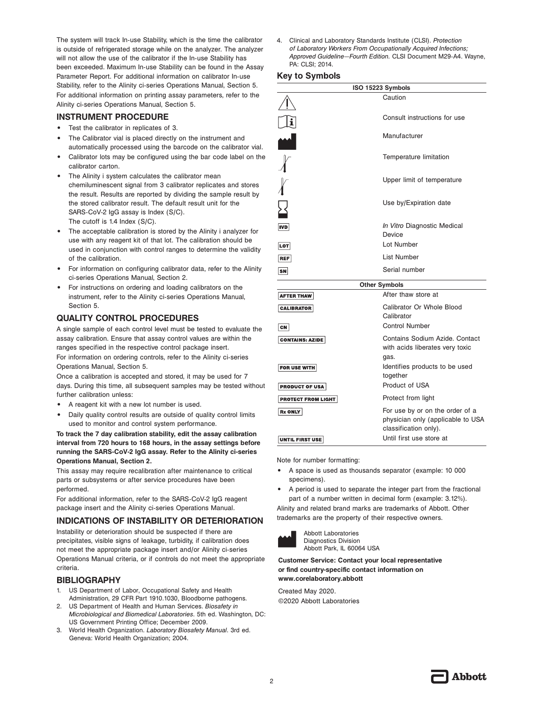The system will track In-use Stability, which is the time the calibrator is outside of refrigerated storage while on the analyzer. The analyzer will not allow the use of the calibrator if the In-use Stability has been exceeded. Maximum In-use Stability can be found in the Assay Parameter Report. For additional information on calibrator In-use Stability, refer to the Alinity ci-series Operations Manual, Section 5. For additional information on printing assay parameters, refer to the Alinity ci-series Operations Manual, Section 5.

#### **INSTRUMENT PROCEDURE**

- **•** Test the calibrator in replicates of 3.
- **•** The Calibrator vial is placed directly on the instrument and automatically processed using the barcode on the calibrator vial.
- **•** Calibrator lots may be configured using the bar code label on the calibrator carton.
- **•** The Alinity i system calculates the calibrator mean chemiluminescent signal from 3 calibrator replicates and stores the result. Results are reported by dividing the sample result by the stored calibrator result. The default result unit for the SARS-CoV-2 IgG assay is Index (S/C). The cutoff is 1.4 Index (S/C).
- **•** The acceptable calibration is stored by the Alinity i analyzer for use with any reagent kit of that lot. The calibration should be used in conjunction with control ranges to determine the validity of the calibration.
- **•** For information on configuring calibrator data, refer to the Alinity ci-series Operations Manual, Section 2.
- **•** For instructions on ordering and loading calibrators on the instrument, refer to the Alinity ci-series Operations Manual, Section 5.

#### **QUALITY CONTROL PROCEDURES**

A single sample of each control level must be tested to evaluate the assay calibration. Ensure that assay control values are within the ranges specified in the respective control package insert.

For information on ordering controls, refer to the Alinity ci-series Operations Manual, Section 5.

Once a calibration is accepted and stored, it may be used for 7 days. During this time, all subsequent samples may be tested without further calibration unless:

- **•** A reagent kit with a new lot number is used.
- **•** Daily quality control results are outside of quality control limits used to monitor and control system performance.

**To track the 7 day calibration stability, edit the assay calibration interval from 720 hours to 168 hours, in the assay settings before running the SARS-CoV-2 IgG assay. Refer to the Alinity ci-series Operations Manual, Section 2.**

This assay may require recalibration after maintenance to critical parts or subsystems or after service procedures have been performed.

For additional information, refer to the SARS-CoV-2 IgG reagent package insert and the Alinity ci-series Operations Manual.

#### **INDICATIONS OF INSTABILITY OR DETERIORATION**

Instability or deterioration should be suspected if there are precipitates, visible signs of leakage, turbidity, if calibration does not meet the appropriate package insert and/or Alinity ci-series Operations Manual criteria, or if controls do not meet the appropriate criteria.

#### **BIBLIOGRAPHY**

- 1. US Department of Labor, Occupational Safety and Health Administration, 29 CFR Part 1910.1030, Bloodborne pathogens.
- 2. US Department of Health and Human Services. *Biosafety in Microbiological and Biomedical Laboratories*. 5th ed. Washington, DC: US Government Printing Office; December 2009.
- 3. World Health Organization. *Laboratory Biosafety Manual*. 3rd ed. Geneva: World Health Organization; 2004.

4. Clinical and Laboratory Standards Institute (CLSI). *Protection of Laboratory Workers From Occupationally Acquired Infections; Approved Guideline—Fourth Edition.* CLSI Document M29-A4. Wayne, PA: CLSI; 2014.

#### **Key to Symbols**

| ISO 15223 Symbols      |                                                                                               |  |
|------------------------|-----------------------------------------------------------------------------------------------|--|
|                        | Caution                                                                                       |  |
| i                      | Consult instructions for use                                                                  |  |
|                        | Manufacturer                                                                                  |  |
|                        | Temperature limitation                                                                        |  |
|                        | Upper limit of temperature                                                                    |  |
| $\sum_{i=1}^{n}$       | Use by/Expiration date                                                                        |  |
| <b>IVD</b>             | In Vitro Diagnostic Medical<br>Device                                                         |  |
| <b>LOT</b>             | Lot Number                                                                                    |  |
| <b>REF</b>             | List Number                                                                                   |  |
| sn                     | Serial number                                                                                 |  |
| <b>Other Symbols</b>   |                                                                                               |  |
| <b>AFTER THAW</b>      | After thaw store at                                                                           |  |
| <b>CALIBRATOR</b>      | Calibrator Or Whole Blood<br>Calibrator                                                       |  |
| CN                     | <b>Control Number</b>                                                                         |  |
| <b>CONTAINS: AZIDE</b> | Contains Sodium Azide, Contact<br>with acids liberates very toxic<br>gas.                     |  |
| <b>FOR USE WITH</b>    | Identifies products to be used<br>together                                                    |  |
| <b>PRODUCT OF USA</b>  | Product of USA                                                                                |  |
| PROTECT FROM LIGHT     | Protect from light                                                                            |  |
| <b>Rx ONLY</b>         | For use by or on the order of a<br>physician only (applicable to USA<br>classification only). |  |
| UNTIL FIRST USE        | Until first use store at                                                                      |  |

Note for number formatting:

- **•** A space is used as thousands separator (example: 10 000 specimens).
- **•** A period is used to separate the integer part from the fractional part of a number written in decimal form (example: 3.12%).

Alinity and related brand marks are trademarks of Abbott. Other trademarks are the property of their respective owners.



Abbott Laboratories Diagnostics Division Abbott Park, IL 60064 USA

**Customer Service: Contact your local representative or find country-specific contact information on www.corelaboratory.abbott**

Created May 2020. ©2020 Abbott Laboratories

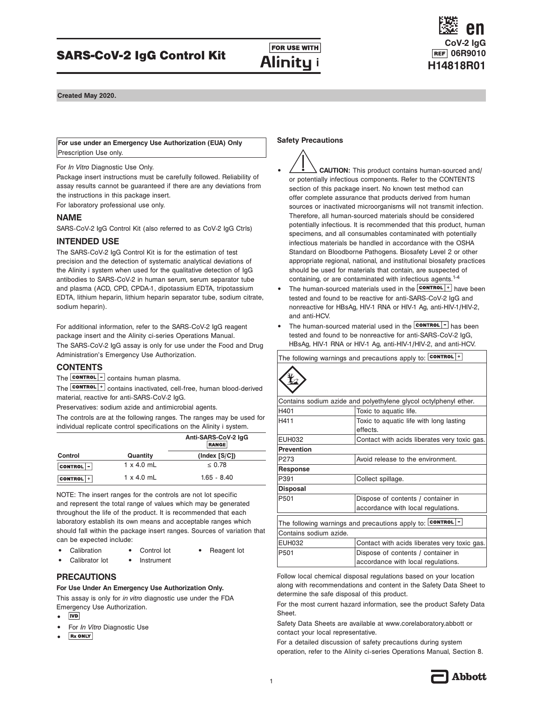## **FOR USE WITH**<br>H14818R010 SARS-CoV-2 IgG Control Kit Alinity i ELEF 06R9010





**Created May 2020.**

**For use under an Emergency Use Authorization (EUA) Only** Prescription Use only.

For *In Vitro* Diagnostic Use Only.

Package insert instructions must be carefully followed. Reliability of assay results cannot be guaranteed if there are any deviations from the instructions in this package insert.

For laboratory professional use only.

#### **NAME**

SARS-CoV-2 IgG Control Kit (also referred to as CoV-2 IgG Ctrls)

#### **INTENDED USE**

The SARS-CoV-2 IgG Control Kit is for the estimation of test precision and the detection of systematic analytical deviations of the Alinity i system when used for the qualitative detection of IgG antibodies to SARS-CoV-2 in human serum, serum separator tube and plasma (ACD, CPD, CPDA-1, dipotassium EDTA, tripotassium EDTA, lithium heparin, lithium heparin separator tube, sodium citrate, sodium heparin).

For additional information, refer to the SARS-CoV-2 IgG reagent package insert and the Alinity ci-series Operations Manual.

The SARS-CoV-2 IgG assay is only for use under the Food and Drug Administration's Emergency Use Authorization.

#### **CONTENTS**

The **CONTROL** - contains human plasma.

The **CONTROL** + contains inactivated, cell-free, human blood-derived material, reactive for anti-SARS-CoV-2 IgG.

Preservatives: sodium azide and antimicrobial agents.

The controls are at the following ranges. The ranges may be used for individual replicate control specifications on the Alinity i system.

|                  |                   | Anti-SARS-CoV-2 IqG<br><b>RANGE</b> |
|------------------|-------------------|-------------------------------------|
| Control          | Quantity          | (Index [S/C])                       |
| $CONTROL$  -     | $1 \times 4.0$ mL | $\leq 0.78$                         |
| <b>CONTROL</b> + | $1 \times 4.0$ mL | $1.65 - 8.40$                       |

NOTE: The insert ranges for the controls are not lot specific and represent the total range of values which may be generated throughout the life of the product. It is recommended that each laboratory establish its own means and acceptable ranges which should fall within the package insert ranges. Sources of variation that can be expected include:

- **•** Calibration **•** Control lot **•** Reagent lot
	-
	- **•** Calibrator lot **•** Instrument
- 
- **PRECAUTIONS**

**For Use Under An Emergency Use Authorization Only.**

This assay is only for *in vitro* diagnostic use under the FDA Emergency Use Authorization.

- $|IVD|$ **•**
- **•** For *In Vitro* Diagnostic Use
- **Rx ONLY •**

#### **Safety Precautions**

- **• CAUTION:** This product contains human-sourced and/ or potentially infectious components. Refer to the CONTENTS section of this package insert. No known test method can offer complete assurance that products derived from human sources or inactivated microorganisms will not transmit infection. Therefore, all human-sourced materials should be considered potentially infectious. It is recommended that this product, human specimens, and all consumables contaminated with potentially infectious materials be handled in accordance with the OSHA Standard on Bloodborne Pathogens. Biosafety Level 2 or other appropriate regional, national, and institutional biosafety practices should be used for materials that contain, are suspected of containing, or are contaminated with infectious agents.<sup>1-4</sup>
- The human-sourced materials used in the **CONTROL** + have been tested and found to be reactive for anti-SARS-CoV-2 IgG and nonreactive for HBsAg, HIV-1 RNA or HIV-1 Ag, anti-HIV-1/HIV-2, and anti-HCV.
- The human-sourced material used in the **CONTROL** has been tested and found to be nonreactive for anti-SARS-CoV-2 IgG, HBsAg, HIV-1 RNA or HIV-1 Ag, anti-HIV-1/HIV-2, and anti-HCV.

The following warnings and precautions apply to: CONTROL |+

| Contains sodium azide and polyethylene glycol octylphenyl ether. |                                              |  |  |
|------------------------------------------------------------------|----------------------------------------------|--|--|
| H401                                                             | Toxic to aquatic life.                       |  |  |
| H411                                                             | Toxic to aquatic life with long lasting      |  |  |
|                                                                  | effects.                                     |  |  |
| <b>EUH032</b>                                                    | Contact with acids liberates very toxic gas. |  |  |
| <b>Prevention</b>                                                |                                              |  |  |
| P273                                                             | Avoid release to the environment.            |  |  |
| Response                                                         |                                              |  |  |
| P391                                                             | Collect spillage.                            |  |  |
| <b>Disposal</b>                                                  |                                              |  |  |
| P501                                                             | Dispose of contents / container in           |  |  |
|                                                                  | accordance with local regulations.           |  |  |
| The following warnings and precautions apply to: CONTROL         |                                              |  |  |
| Contains sodium azide.                                           |                                              |  |  |
| <b>EUH032</b>                                                    | Contact with acids liberates very toxic gas. |  |  |
| P501                                                             | Dispose of contents / container in           |  |  |
|                                                                  | accordance with local regulations.           |  |  |

Follow local chemical disposal regulations based on your location along with recommendations and content in the Safety Data Sheet to determine the safe disposal of this product.

For the most current hazard information, see the product Safety Data Sheet.

Safety Data Sheets are available at www.corelaboratory.abbott or contact your local representative.

For a detailed discussion of safety precautions during system operation, refer to the Alinity ci-series Operations Manual, Section 8.